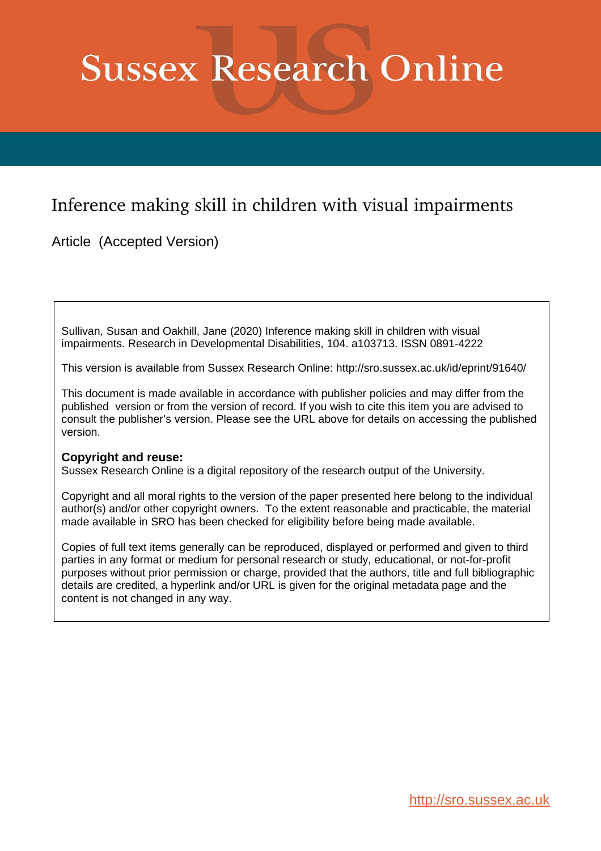# **Sussex Research Online**

# Inference making skill in children with visual impairments

Article (Accepted Version)

Sullivan, Susan and Oakhill, Jane (2020) Inference making skill in children with visual impairments. Research in Developmental Disabilities, 104. a103713. ISSN 0891-4222

This version is available from Sussex Research Online: http://sro.sussex.ac.uk/id/eprint/91640/

This document is made available in accordance with publisher policies and may differ from the published version or from the version of record. If you wish to cite this item you are advised to consult the publisher's version. Please see the URL above for details on accessing the published version.

# **Copyright and reuse:**

Sussex Research Online is a digital repository of the research output of the University.

Copyright and all moral rights to the version of the paper presented here belong to the individual author(s) and/or other copyright owners. To the extent reasonable and practicable, the material made available in SRO has been checked for eligibility before being made available.

Copies of full text items generally can be reproduced, displayed or performed and given to third parties in any format or medium for personal research or study, educational, or not-for-profit purposes without prior permission or charge, provided that the authors, title and full bibliographic details are credited, a hyperlink and/or URL is given for the original metadata page and the content is not changed in any way.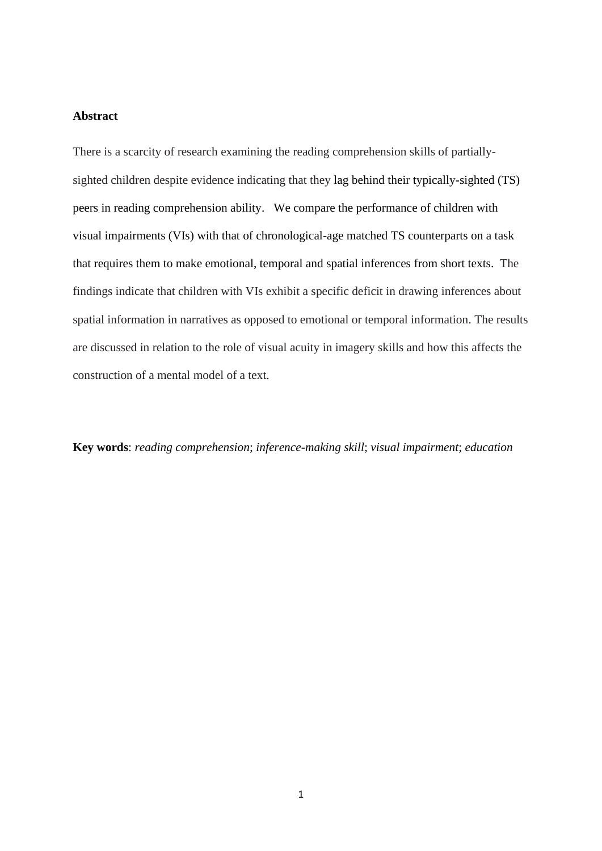# **Abstract**

There is a scarcity of research examining the reading comprehension skills of partiallysighted children despite evidence indicating that they lag behind their typically-sighted (TS) peers in reading comprehension ability. We compare the performance of children with visual impairments (VIs) with that of chronological-age matched TS counterparts on a task that requires them to make emotional, temporal and spatial inferences from short texts. The findings indicate that children with VIs exhibit a specific deficit in drawing inferences about spatial information in narratives as opposed to emotional or temporal information. The results are discussed in relation to the role of visual acuity in imagery skills and how this affects the construction of a mental model of a text.

**Key words**: *reading comprehension*; *inference-making skill*; *visual impairment*; *education*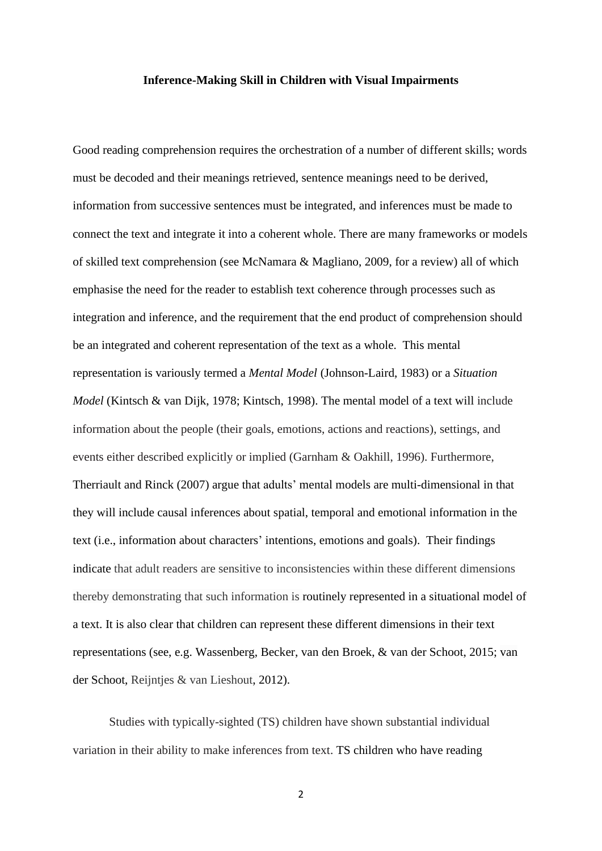#### **Inference-Making Skill in Children with Visual Impairments**

Good reading comprehension requires the orchestration of a number of different skills; words must be decoded and their meanings retrieved, sentence meanings need to be derived, information from successive sentences must be integrated, and inferences must be made to connect the text and integrate it into a coherent whole. There are many frameworks or models of skilled text comprehension (see McNamara & Magliano, 2009, for a review) all of which emphasise the need for the reader to establish text coherence through processes such as integration and inference, and the requirement that the end product of comprehension should be an integrated and coherent representation of the text as a whole. This mental representation is variously termed a *Mental Model* (Johnson-Laird, 1983) or a *Situation Model* (Kintsch & van Dijk, 1978; Kintsch, 1998). The mental model of a text will include information about the people (their goals, emotions, actions and reactions), settings, and events either described explicitly or implied (Garnham & Oakhill, 1996). Furthermore, Therriault and Rinck (2007) argue that adults' mental models are multi-dimensional in that they will include causal inferences about spatial, temporal and emotional information in the text (i.e., information about characters' intentions, emotions and goals). Their findings indicate that adult readers are sensitive to inconsistencies within these different dimensions thereby demonstrating that such information is routinely represented in a situational model of a text. It is also clear that children can represent these different dimensions in their text representations (see, e.g. Wassenberg, Becker, van den Broek, & van der Schoot, 2015; van der Schoot, Reijntjes & van Lieshout, [2012\)](https://link.springer.com/article/10.1007/s11145-015-9568-x#ref-CR51).

Studies with typically-sighted (TS) children have shown substantial individual variation in their ability to make inferences from text. TS children who have reading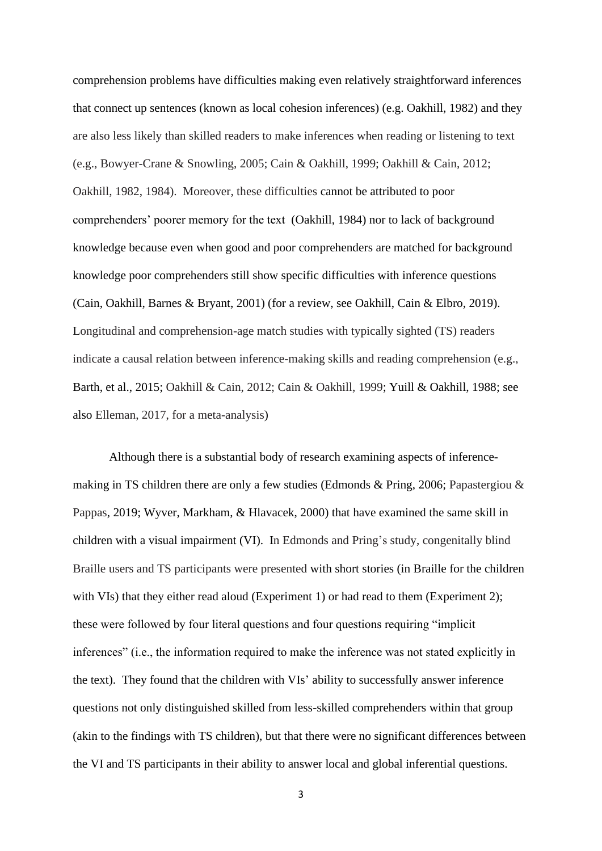comprehension problems have difficulties making even relatively straightforward inferences that connect up sentences (known as local cohesion inferences) (e.g. Oakhill, 1982) and they are also less likely than skilled readers to make inferences when reading or listening to text (e.g., Bowyer-Crane & Snowling, 2005; Cain & Oakhill, 1999; Oakhill & Cain, 2012; Oakhill, 1982, 1984). Moreover, these difficulties cannot be attributed to poor comprehenders' poorer memory for the text (Oakhill, 1984) nor to lack of background knowledge because even when good and poor comprehenders are matched for background knowledge poor comprehenders still show specific difficulties with inference questions (Cain, Oakhill, Barnes & Bryant, 2001) (for a review, see Oakhill, Cain & Elbro, 2019). Longitudinal and comprehension-age match studies with typically sighted (TS) readers indicate a causal relation between inference-making skills and reading comprehension (e.g., Barth, et al., 2015; Oakhill & Cain, 2012; Cain & Oakhill, 1999; Yuill & Oakhill, 1988; see also Elleman, 2017, for a meta-analysis)

Although there is a substantial body of research examining aspects of inferencemaking in TS children there are only a few studies (Edmonds & Pring, 2006; Papastergiou & Pappas, 2019; Wyver, Markham, & Hlavacek, 2000) that have examined the same skill in children with a visual impairment (VI). In Edmonds and Pring's study, congenitally blind Braille users and TS participants were presented with short stories (in Braille for the children with VIs) that they either read aloud (Experiment 1) or had read to them (Experiment 2); these were followed by four literal questions and four questions requiring "implicit inferences" (i.e., the information required to make the inference was not stated explicitly in the text). They found that the children with VIs' ability to successfully answer inference questions not only distinguished skilled from less-skilled comprehenders within that group (akin to the findings with TS children), but that there were no significant differences between the VI and TS participants in their ability to answer local and global inferential questions.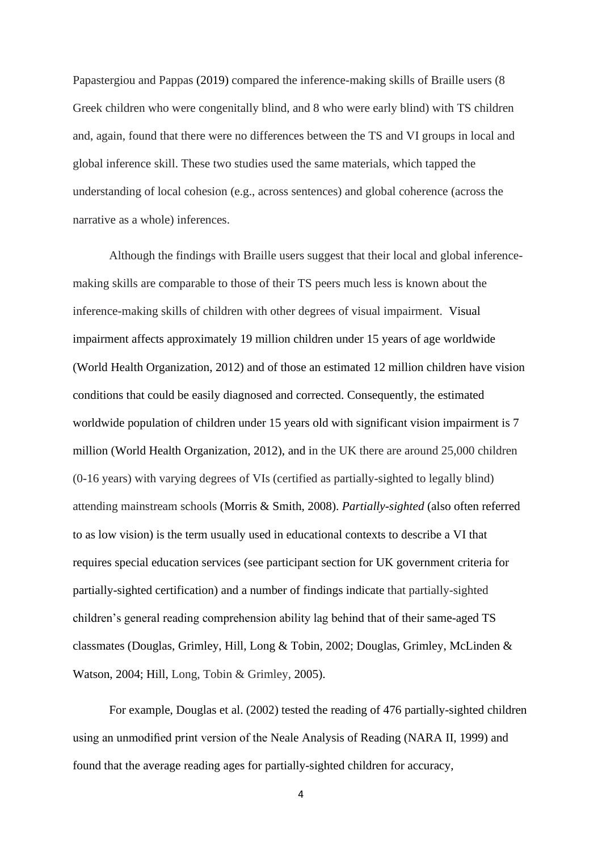Papastergiou and Pappas (2019) compared the inference-making skills of Braille users (8 Greek children who were congenitally blind, and 8 who were early blind) with TS children and, again, found that there were no differences between the TS and VI groups in local and global inference skill. These two studies used the same materials, which tapped the understanding of local cohesion (e.g., across sentences) and global coherence (across the narrative as a whole) inferences.

Although the findings with Braille users suggest that their local and global inferencemaking skills are comparable to those of their TS peers much less is known about the inference-making skills of children with other degrees of visual impairment. Visual impairment affects approximately 19 million children under 15 years of age worldwide (World Health Organization, 2012) and of those an estimated 12 million children have vision conditions that could be easily diagnosed and corrected. Consequently, the estimated worldwide population of children under 15 years old with significant vision impairment is 7 million (World Health Organization, 2012), and in the UK there are around 25,000 children (0-16 years) with varying degrees of VIs (certified as partially-sighted to legally blind) attending mainstream schools (Morris & Smith, 2008). *Partially-sighted* (also often referred to as low vision) is the term usually used in educational contexts to describe a VI that requires special education services (see participant section for UK government criteria for partially-sighted certification) and a number of findings indicate that partially-sighted children's general reading comprehension ability lag behind that of their same-aged TS classmates (Douglas, Grimley, Hill, Long & Tobin, 2002; Douglas, Grimley, McLinden & Watson, 2004; Hill, Long, Tobin & Grimley, 2005).

For example, Douglas et al. (2002) tested the reading of 476 partially-sighted children using an unmodified print version of the Neale Analysis of Reading (NARA II, 1999) and found that the average reading ages for partially-sighted children for accuracy,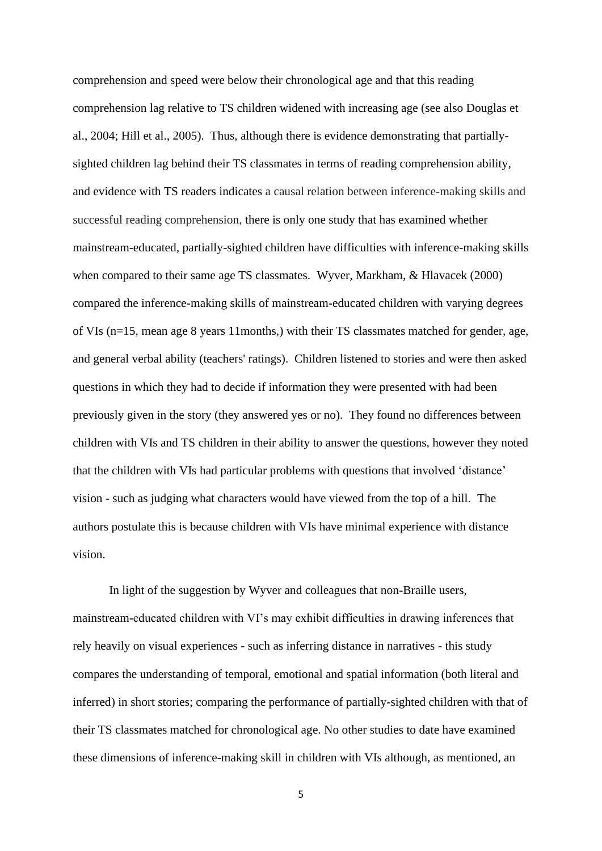comprehension and speed were below their chronological age and that this reading comprehension lag relative to TS children widened with increasing age (see also Douglas et al., 2004; Hill et al., 2005). Thus, although there is evidence demonstrating that partiallysighted children lag behind their TS classmates in terms of reading comprehension ability, and evidence with TS readers indicates a causal relation between inference-making skills and successful reading comprehension, there is only one study that has examined whether mainstream-educated, partially-sighted children have difficulties with inference-making skills when compared to their same age TS classmates. Wyver, Markham, & Hlavacek (2000) compared the inference-making skills of mainstream-educated children with varying degrees of VIs (n=15, mean age 8 years 11months,) with their TS classmates matched for gender, age, and general verbal ability (teachers' ratings). Children listened to stories and were then asked questions in which they had to decide if information they were presented with had been previously given in the story (they answered yes or no). They found no differences between children with VIs and TS children in their ability to answer the questions, however they noted that the children with VIs had particular problems with questions that involved 'distance' vision - such as judging what characters would have viewed from the top of a hill. The authors postulate this is because children with VIs have minimal experience with distance vision.

In light of the suggestion by Wyver and colleagues that non-Braille users, mainstream-educated children with VI's may exhibit difficulties in drawing inferences that rely heavily on visual experiences - such as inferring distance in narratives - this study compares the understanding of temporal, emotional and spatial information (both literal and inferred) in short stories; comparing the performance of partially-sighted children with that of their TS classmates matched for chronological age. No other studies to date have examined these dimensions of inference-making skill in children with VIs although, as mentioned, an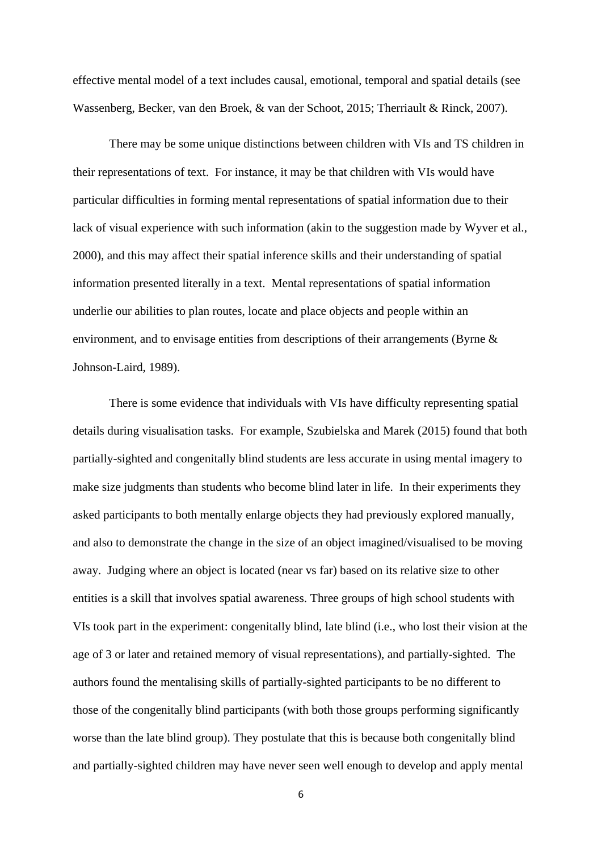effective mental model of a text includes causal, emotional, temporal and spatial details (see Wassenberg, Becker, van den Broek, & van der Schoot, 2015; Therriault & Rinck, 2007).

There may be some unique distinctions between children with VIs and TS children in their representations of text. For instance, it may be that children with VIs would have particular difficulties in forming mental representations of spatial information due to their lack of visual experience with such information (akin to the suggestion made by Wyver et al., 2000), and this may affect their spatial inference skills and their understanding of spatial information presented literally in a text. Mental representations of spatial information underlie our abilities to plan routes, locate and place objects and people within an environment, and to envisage entities from descriptions of their arrangements (Byrne & Johnson-Laird, 1989).

There is some evidence that individuals with VIs have difficulty representing spatial details during visualisation tasks. For example, Szubielska and Marek (2015) found that both partially-sighted and congenitally blind students are less accurate in using mental imagery to make size judgments than students who become blind later in life. In their experiments they asked participants to both mentally enlarge objects they had previously explored manually, and also to demonstrate the change in the size of an object imagined/visualised to be moving away. Judging where an object is located (near vs far) based on its relative size to other entities is a skill that involves spatial awareness. Three groups of high school students with VIs took part in the experiment: congenitally blind, late blind (i.e., who lost their vision at the age of 3 or later and retained memory of visual representations), and partially-sighted. The authors found the mentalising skills of partially-sighted participants to be no different to those of the congenitally blind participants (with both those groups performing significantly worse than the late blind group). They postulate that this is because both congenitally blind and partially-sighted children may have never seen well enough to develop and apply mental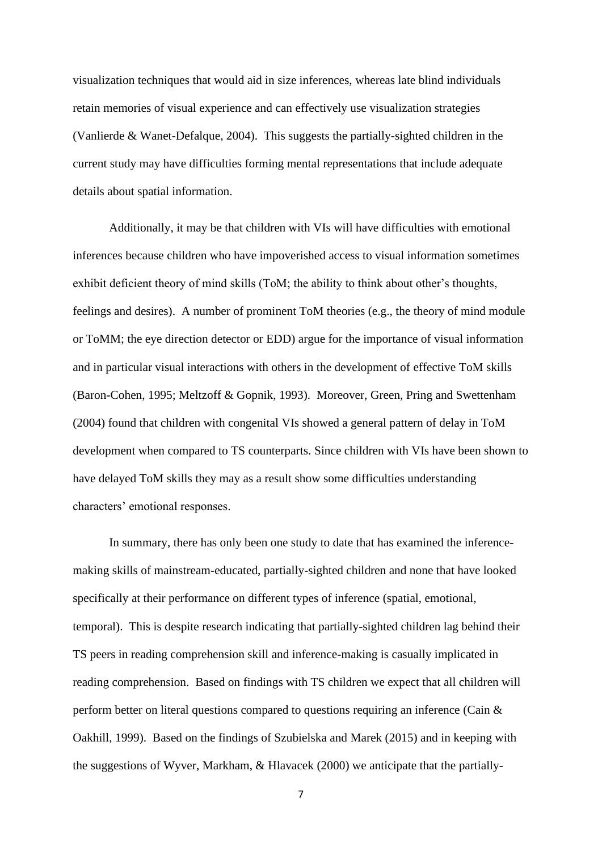visualization techniques that would aid in size inferences, whereas late blind individuals retain memories of visual experience and can effectively use visualization strategies (Vanlierde & Wanet-Defalque, 2004). This suggests the partially-sighted children in the current study may have difficulties forming mental representations that include adequate details about spatial information.

Additionally, it may be that children with VIs will have difficulties with emotional inferences because children who have impoverished access to visual information sometimes exhibit deficient theory of mind skills (ToM; the ability to think about other's thoughts, feelings and desires). A number of prominent ToM theories (e.g., the theory of mind module or ToMM; the eye direction detector or EDD) argue for the importance of visual information and in particular visual interactions with others in the development of effective ToM skills (Baron-Cohen, 1995; Meltzoff & Gopnik, 1993). Moreover, Green, Pring and Swettenham (2004) found that children with congenital VIs showed a general pattern of delay in ToM development when compared to TS counterparts. Since children with VIs have been shown to have delayed ToM skills they may as a result show some difficulties understanding characters' emotional responses.

In summary, there has only been one study to date that has examined the inferencemaking skills of mainstream-educated, partially-sighted children and none that have looked specifically at their performance on different types of inference (spatial, emotional, temporal). This is despite research indicating that partially-sighted children lag behind their TS peers in reading comprehension skill and inference-making is casually implicated in reading comprehension. Based on findings with TS children we expect that all children will perform better on literal questions compared to questions requiring an inference (Cain & Oakhill, 1999). Based on the findings of Szubielska and Marek (2015) and in keeping with the suggestions of Wyver, Markham, & Hlavacek (2000) we anticipate that the partially-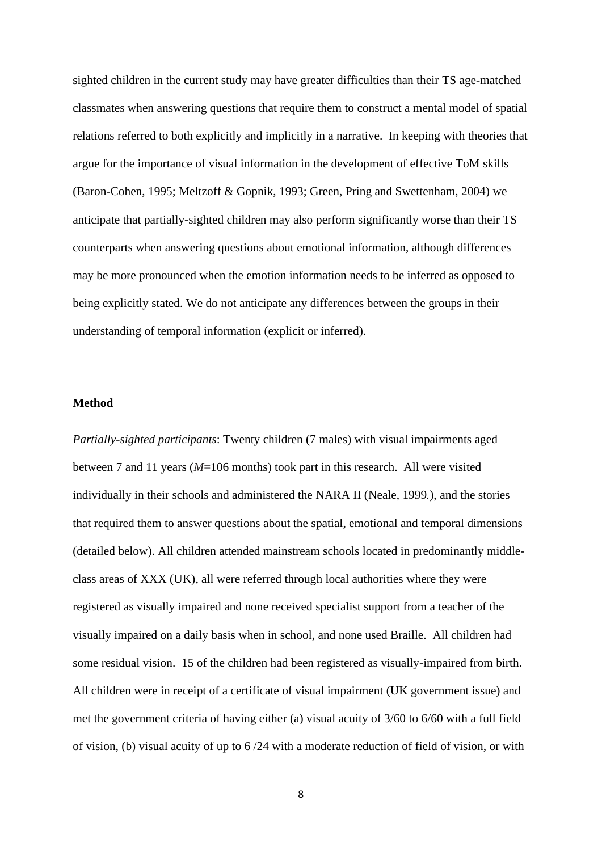sighted children in the current study may have greater difficulties than their TS age-matched classmates when answering questions that require them to construct a mental model of spatial relations referred to both explicitly and implicitly in a narrative. In keeping with theories that argue for the importance of visual information in the development of effective ToM skills (Baron-Cohen, 1995; Meltzoff & Gopnik, 1993; Green, Pring and Swettenham, 2004) we anticipate that partially-sighted children may also perform significantly worse than their TS counterparts when answering questions about emotional information, although differences may be more pronounced when the emotion information needs to be inferred as opposed to being explicitly stated. We do not anticipate any differences between the groups in their understanding of temporal information (explicit or inferred).

#### **Method**

*Partially-sighted participants*: Twenty children (7 males) with visual impairments aged between 7 and 11 years (*M*=106 months) took part in this research. All were visited individually in their schools and administered the NARA II (Neale, 1999*.*), and the stories that required them to answer questions about the spatial, emotional and temporal dimensions (detailed below). All children attended mainstream schools located in predominantly middleclass areas of XXX (UK), all were referred through local authorities where they were registered as visually impaired and none received specialist support from a teacher of the visually impaired on a daily basis when in school, and none used Braille. All children had some residual vision. 15 of the children had been registered as visually-impaired from birth. All children were in receipt of a certificate of visual impairment (UK government issue) and met the government criteria of having either (a) visual acuity of 3/60 to 6/60 with a full field of vision, (b) visual acuity of up to 6 /24 with a moderate reduction of field of vision, or with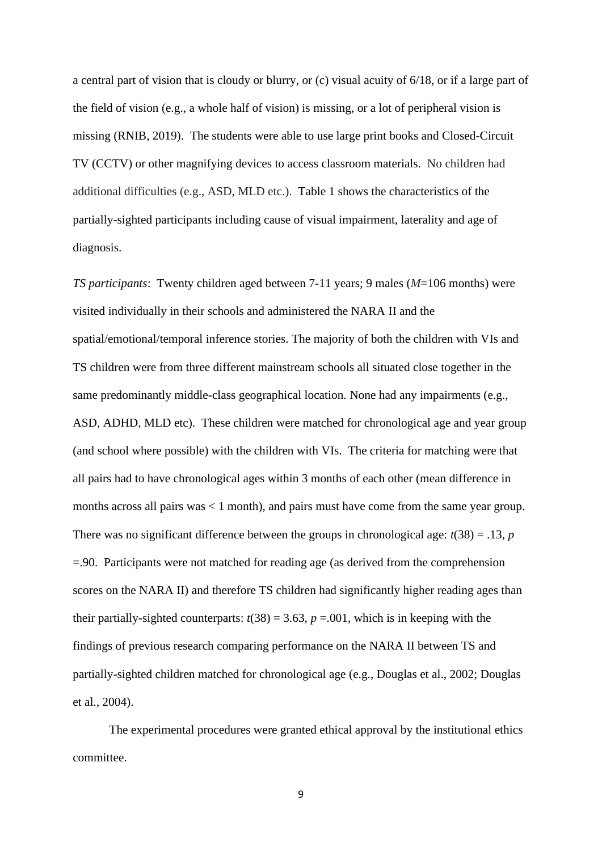a central part of vision that is cloudy or blurry, or (c) visual acuity of 6/18, or if a large part of the field of vision (e.g., a whole half of vision) is missing, or a lot of peripheral vision is missing (RNIB, 2019). The students were able to use large print books and Closed-Circuit TV (CCTV) or other magnifying devices to access classroom materials. No children had additional difficulties (e.g., ASD, MLD etc.). Table 1 shows the characteristics of the partially-sighted participants including cause of visual impairment, laterality and age of diagnosis.

*TS participants*: Twenty children aged between 7-11 years; 9 males (*M*=106 months) were visited individually in their schools and administered the NARA II and the spatial/emotional/temporal inference stories. The majority of both the children with VIs and TS children were from three different mainstream schools all situated close together in the same predominantly middle-class geographical location. None had any impairments (e.g., ASD, ADHD, MLD etc). These children were matched for chronological age and year group (and school where possible) with the children with VIs. The criteria for matching were that all pairs had to have chronological ages within 3 months of each other (mean difference in months across all pairs was < 1 month), and pairs must have come from the same year group. There was no significant difference between the groups in chronological age:  $t(38) = .13$ , *p* =.90. Participants were not matched for reading age (as derived from the comprehension scores on the NARA II) and therefore TS children had significantly higher reading ages than their partially-sighted counterparts:  $t(38) = 3.63$ ,  $p = .001$ , which is in keeping with the findings of previous research comparing performance on the NARA II between TS and partially-sighted children matched for chronological age (e.g., Douglas et al., 2002; Douglas et al., 2004).

The experimental procedures were granted ethical approval by the institutional ethics committee.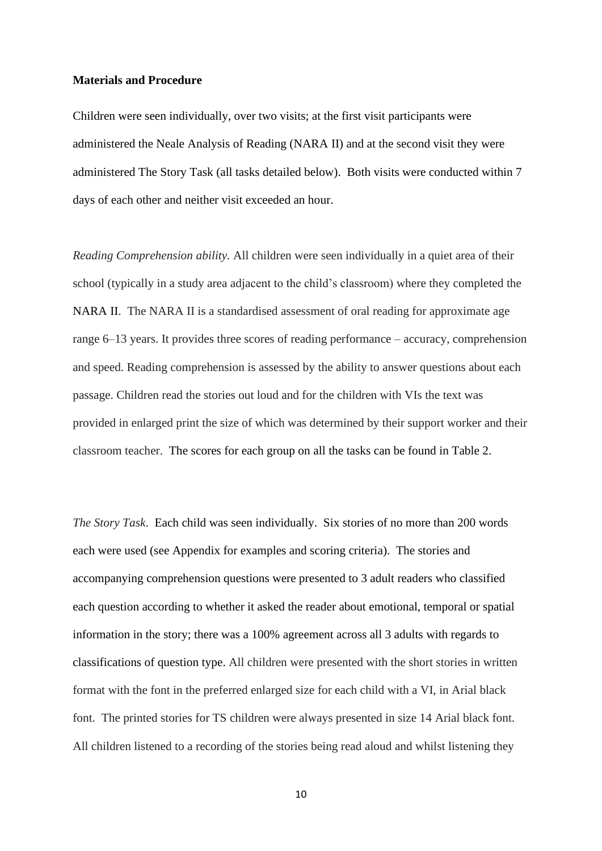#### **Materials and Procedure**

Children were seen individually, over two visits; at the first visit participants were administered the Neale Analysis of Reading (NARA II) and at the second visit they were administered The Story Task (all tasks detailed below). Both visits were conducted within 7 days of each other and neither visit exceeded an hour.

*Reading Comprehension ability.* All children were seen individually in a quiet area of their school (typically in a study area adjacent to the child's classroom) where they completed the NARA II. The NARA II is a standardised assessment of oral reading for approximate age range 6–13 years. It provides three scores of reading performance – accuracy, comprehension and speed. Reading comprehension is assessed by the ability to answer questions about each passage. Children read the stories out loud and for the children with VIs the text was provided in enlarged print the size of which was determined by their support worker and their classroom teacher. The scores for each group on all the tasks can be found in Table 2.

*The Story Task*. Each child was seen individually. Six stories of no more than 200 words each were used (see Appendix for examples and scoring criteria). The stories and accompanying comprehension questions were presented to 3 adult readers who classified each question according to whether it asked the reader about emotional, temporal or spatial information in the story; there was a 100% agreement across all 3 adults with regards to classifications of question type. All children were presented with the short stories in written format with the font in the preferred enlarged size for each child with a VI, in Arial black font. The printed stories for TS children were always presented in size 14 Arial black font. All children listened to a recording of the stories being read aloud and whilst listening they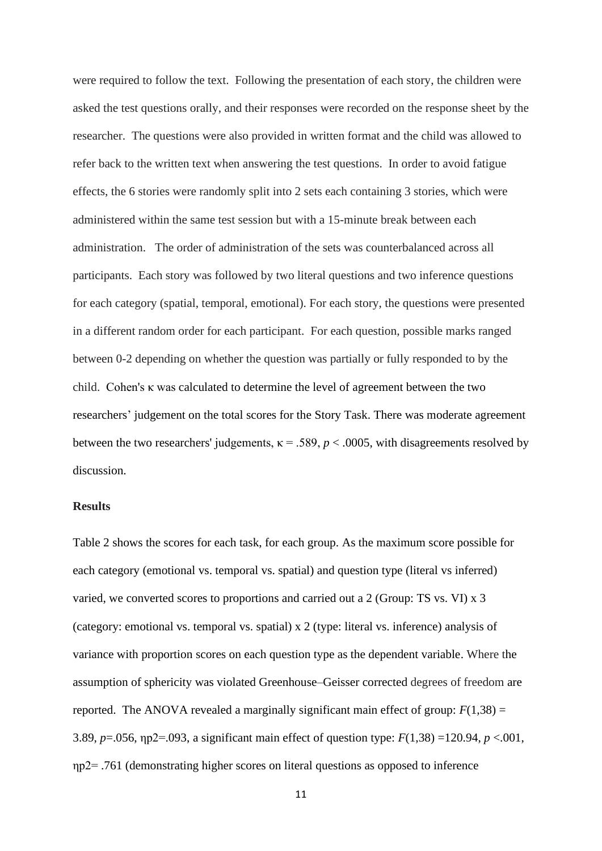were required to follow the text. Following the presentation of each story, the children were asked the test questions orally, and their responses were recorded on the response sheet by the researcher. The questions were also provided in written format and the child was allowed to refer back to the written text when answering the test questions. In order to avoid fatigue effects, the 6 stories were randomly split into 2 sets each containing 3 stories, which were administered within the same test session but with a 15-minute break between each administration. The order of administration of the sets was counterbalanced across all participants. Each story was followed by two literal questions and two inference questions for each category (spatial, temporal, emotional). For each story, the questions were presented in a different random order for each participant. For each question, possible marks ranged between 0-2 depending on whether the question was partially or fully responded to by the child. Cohen's κ was calculated to determine the level of agreement between the two researchers' judgement on the total scores for the Story Task. There was moderate agreement between the two researchers' judgements,  $\kappa = .589$ ,  $p < .0005$ , with disagreements resolved by discussion.

### **Results**

Table 2 shows the scores for each task, for each group. As the maximum score possible for each category (emotional vs. temporal vs. spatial) and question type (literal vs inferred) varied, we converted scores to proportions and carried out a 2 (Group: TS vs. VI) x 3 (category: emotional vs. temporal vs. spatial) x 2 (type: literal vs. inference) analysis of variance with proportion scores on each question type as the dependent variable. Where the assumption of sphericity was violated Greenhouse–Geisser corrected degrees of freedom are reported. The ANOVA revealed a marginally significant main effect of group:  $F(1,38) =$ 3.89, *p*=.056, ηp2=.093, a significant main effect of question type: *F*(1,38) =120.94, *p* <.001, ηp2= .761 (demonstrating higher scores on literal questions as opposed to inference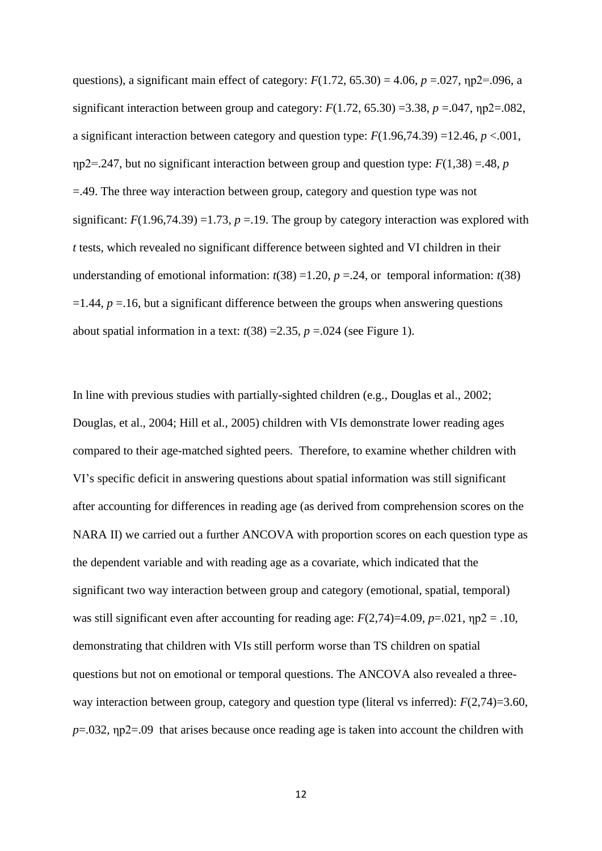questions), a significant main effect of category:  $F(1.72, 65.30) = 4.06$ ,  $p = .027$ ,  $np2 = .096$ , a significant interaction between group and category:  $F(1.72, 65.30) = 3.38$ ,  $p = .047$ ,  $np2 = .082$ , a significant interaction between category and question type: *F*(1.96,74.39) =12.46, *p* <.001, ηp2=.247, but no significant interaction between group and question type: *F*(1,38) =.48, *p* =.49. The three way interaction between group, category and question type was not significant:  $F(1.96,74.39) = 1.73$ ,  $p = 19$ . The group by category interaction was explored with *t* tests, which revealed no significant difference between sighted and VI children in their understanding of emotional information:  $t(38) = 1.20$ ,  $p = .24$ , or temporal information:  $t(38)$  $=1.44$ ,  $p = 0.16$ , but a significant difference between the groups when answering questions about spatial information in a text:  $t(38) = 2.35$ ,  $p = .024$  (see Figure 1).

In line with previous studies with partially-sighted children (e.g., Douglas et al., 2002; Douglas, et al., 2004; Hill et al., 2005) children with VIs demonstrate lower reading ages compared to their age-matched sighted peers. Therefore, to examine whether children with VI's specific deficit in answering questions about spatial information was still significant after accounting for differences in reading age (as derived from comprehension scores on the NARA II) we carried out a further ANCOVA with proportion scores on each question type as the dependent variable and with reading age as a covariate, which indicated that the significant two way interaction between group and category (emotional, spatial, temporal) was still significant even after accounting for reading age:  $F(2,74)=4.09$ ,  $p=.021$ ,  $np2=.10$ , demonstrating that children with VIs still perform worse than TS children on spatial questions but not on emotional or temporal questions. The ANCOVA also revealed a threeway interaction between group, category and question type (literal vs inferred): *F*(2,74)=3.60, *p*=.032, *np*2=.09 that arises because once reading age is taken into account the children with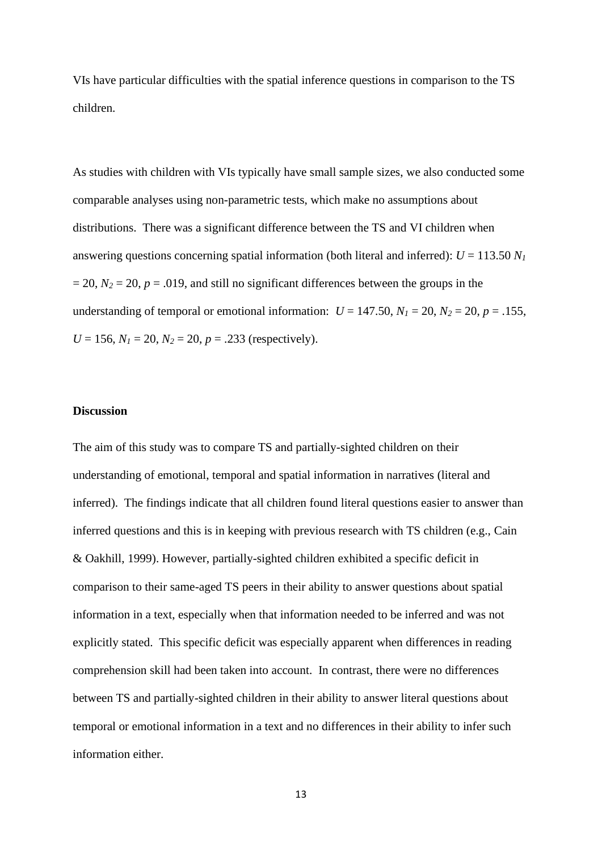VIs have particular difficulties with the spatial inference questions in comparison to the TS children.

As studies with children with VIs typically have small sample sizes, we also conducted some comparable analyses using non-parametric tests, which make no assumptions about distributions. There was a significant difference between the TS and VI children when answering questions concerning spatial information (both literal and inferred):  $U = 113.50 N<sub>1</sub>$  $= 20$ ,  $N_2 = 20$ ,  $p = .019$ , and still no significant differences between the groups in the understanding of temporal or emotional information:  $U = 147.50$ ,  $N_1 = 20$ ,  $N_2 = 20$ ,  $p = .155$ ,  $U = 156$ ,  $N_1 = 20$ ,  $N_2 = 20$ ,  $p = .233$  (respectively).

#### **Discussion**

The aim of this study was to compare TS and partially-sighted children on their understanding of emotional, temporal and spatial information in narratives (literal and inferred). The findings indicate that all children found literal questions easier to answer than inferred questions and this is in keeping with previous research with TS children (e.g., Cain & Oakhill, 1999). However, partially-sighted children exhibited a specific deficit in comparison to their same-aged TS peers in their ability to answer questions about spatial information in a text, especially when that information needed to be inferred and was not explicitly stated. This specific deficit was especially apparent when differences in reading comprehension skill had been taken into account. In contrast, there were no differences between TS and partially-sighted children in their ability to answer literal questions about temporal or emotional information in a text and no differences in their ability to infer such information either.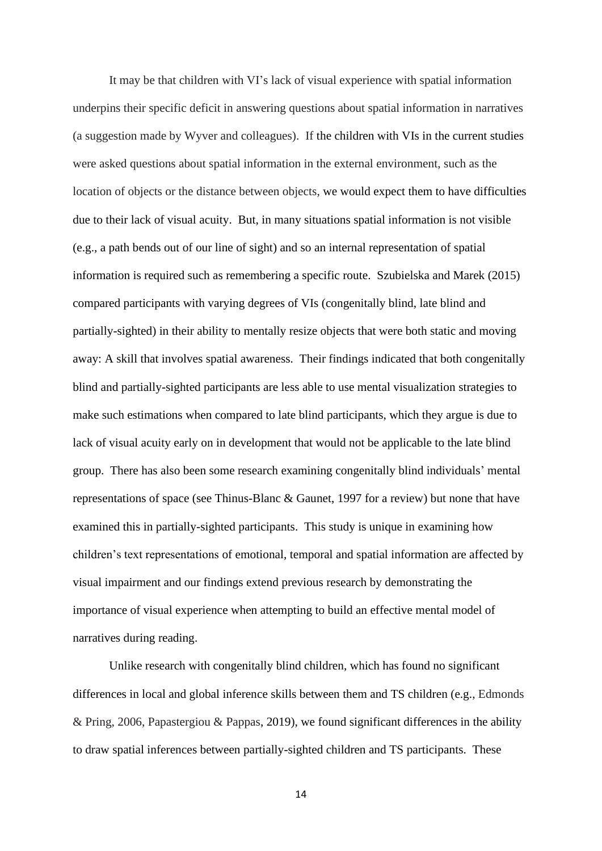It may be that children with VI's lack of visual experience with spatial information underpins their specific deficit in answering questions about spatial information in narratives (a suggestion made by Wyver and colleagues). If the children with VIs in the current studies were asked questions about spatial information in the external environment, such as the location of objects or the distance between objects, we would expect them to have difficulties due to their lack of visual acuity. But, in many situations spatial information is not visible (e.g., a path bends out of our line of sight) and so an internal representation of spatial information is required such as remembering a specific route. Szubielska and Marek (2015) compared participants with varying degrees of VIs (congenitally blind, late blind and partially-sighted) in their ability to mentally resize objects that were both static and moving away: A skill that involves spatial awareness. Their findings indicated that both congenitally blind and partially-sighted participants are less able to use mental visualization strategies to make such estimations when compared to late blind participants, which they argue is due to lack of visual acuity early on in development that would not be applicable to the late blind group. There has also been some research examining congenitally blind individuals' mental representations of space (see Thinus-Blanc & Gaunet, 1997 for a review) but none that have examined this in partially-sighted participants. This study is unique in examining how children's text representations of emotional, temporal and spatial information are affected by visual impairment and our findings extend previous research by demonstrating the importance of visual experience when attempting to build an effective mental model of narratives during reading.

Unlike research with congenitally blind children, which has found no significant differences in local and global inference skills between them and TS children (e.g., Edmonds & Pring, 2006, Papastergiou & Pappas, 2019), we found significant differences in the ability to draw spatial inferences between partially-sighted children and TS participants. These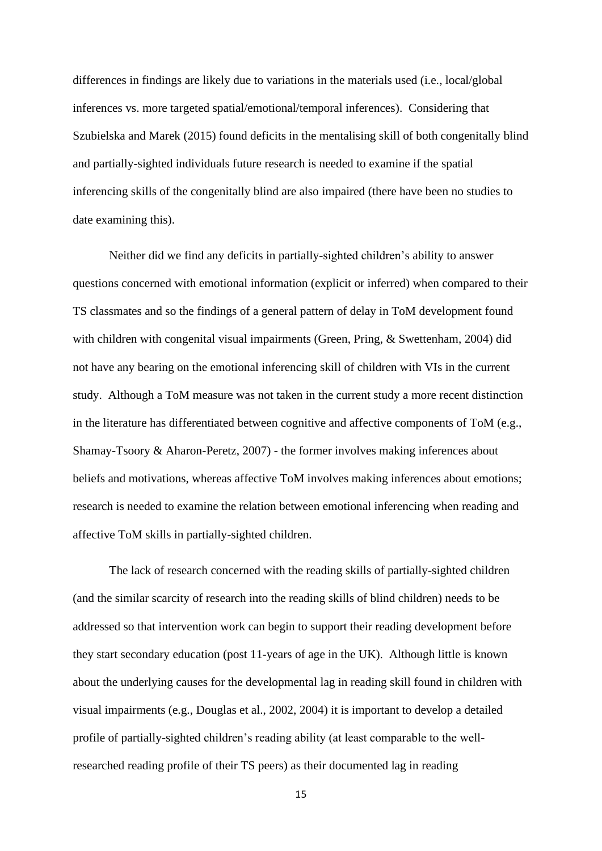differences in findings are likely due to variations in the materials used (i.e., local/global inferences vs. more targeted spatial/emotional/temporal inferences). Considering that Szubielska and Marek (2015) found deficits in the mentalising skill of both congenitally blind and partially-sighted individuals future research is needed to examine if the spatial inferencing skills of the congenitally blind are also impaired (there have been no studies to date examining this).

Neither did we find any deficits in partially-sighted children's ability to answer questions concerned with emotional information (explicit or inferred) when compared to their TS classmates and so the findings of a general pattern of delay in ToM development found with children with congenital visual impairments (Green, Pring, & Swettenham, 2004) did not have any bearing on the emotional inferencing skill of children with VIs in the current study. Although a ToM measure was not taken in the current study a more recent distinction in the literature has differentiated between cognitive and affective components of ToM (e.g., [Shamay-Tsoory & Aharon-Peretz, 2007\)](https://muse-jhu-edu.ezproxy.sussex.ac.uk/article/711731#b49) - the former involves making inferences about beliefs and motivations, whereas affective ToM involves making inferences about emotions; research is needed to examine the relation between emotional inferencing when reading and affective ToM skills in partially-sighted children.

The lack of research concerned with the reading skills of partially-sighted children (and the similar scarcity of research into the reading skills of blind children) needs to be addressed so that intervention work can begin to support their reading development before they start secondary education (post 11-years of age in the UK). Although little is known about the underlying causes for the developmental lag in reading skill found in children with visual impairments (e.g., Douglas et al., 2002, 2004) it is important to develop a detailed profile of partially-sighted children's reading ability (at least comparable to the wellresearched reading profile of their TS peers) as their documented lag in reading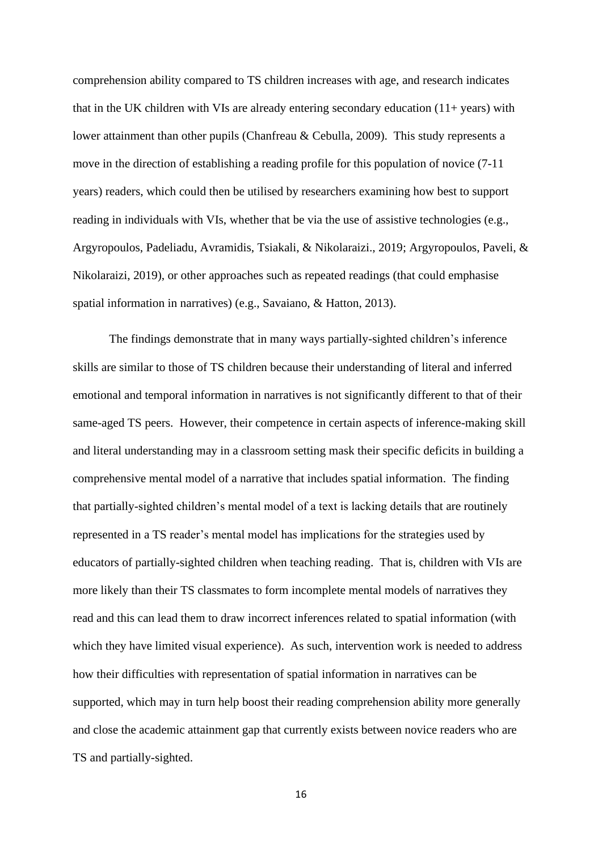comprehension ability compared to TS children increases with age, and research indicates that in the UK children with VIs are already entering secondary education  $(11 + \text{years})$  with lower attainment than other pupils (Chanfreau & Cebulla, 2009). This study represents a move in the direction of establishing a reading profile for this population of novice (7-11 years) readers, which could then be utilised by researchers examining how best to support reading in individuals with VIs, whether that be via the use of assistive technologies (e.g., Argyropoulos, Padeliadu, Avramidis, Tsiakali, & Nikolaraizi., 2019; Argyropoulos, Paveli, & Nikolaraizi, 2019), or other approaches such as repeated readings (that could emphasise spatial information in narratives) (e.g., Savaiano, & Hatton, 2013).

The findings demonstrate that in many ways partially-sighted children's inference skills are similar to those of TS children because their understanding of literal and inferred emotional and temporal information in narratives is not significantly different to that of their same-aged TS peers. However, their competence in certain aspects of inference-making skill and literal understanding may in a classroom setting mask their specific deficits in building a comprehensive mental model of a narrative that includes spatial information. The finding that partially-sighted children's mental model of a text is lacking details that are routinely represented in a TS reader's mental model has implications for the strategies used by educators of partially-sighted children when teaching reading. That is, children with VIs are more likely than their TS classmates to form incomplete mental models of narratives they read and this can lead them to draw incorrect inferences related to spatial information (with which they have limited visual experience). As such, intervention work is needed to address how their difficulties with representation of spatial information in narratives can be supported, which may in turn help boost their reading comprehension ability more generally and close the academic attainment gap that currently exists between novice readers who are TS and partially-sighted.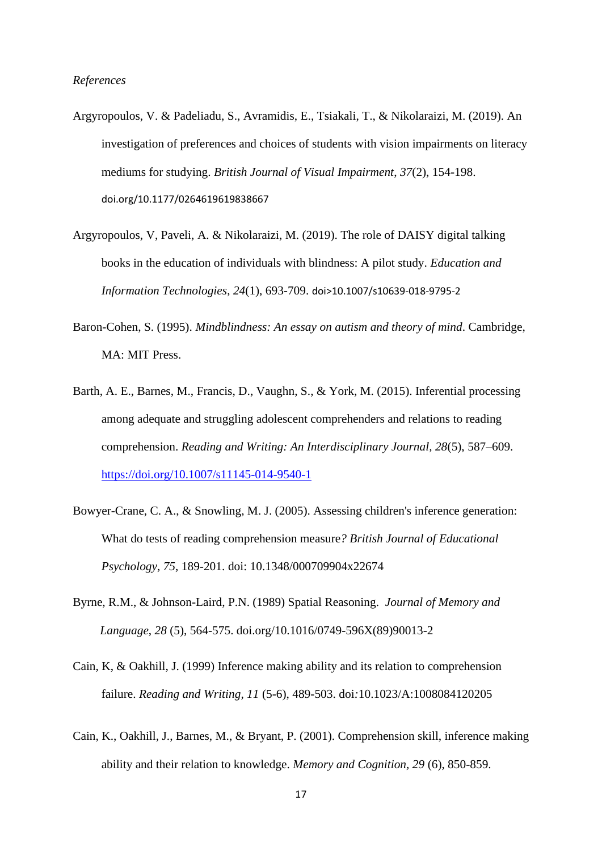#### *References*

- Argyropoulos, V. & Padeliadu, S., Avramidis, E., Tsiakali, T., & Nikolaraizi, M. (2019). An investigation of preferences and choices of students with vision impairments on literacy mediums for studying. *British Journal of Visual Impairment*, *37*(2), 154-198. doi.org/10.1177/0264619619838667
- Argyropoulos, V, Paveli, A. & Nikolaraizi, M. (2019). The role of DAISY digital talking books in the education of individuals with blindness: A pilot study. *Education and Information Technologies*, *24*(1), 693-709. doi>10.1007/s10639-018-9795-2
- Baron-Cohen, S. (1995). *Mindblindness: An essay on autism and theory of mind*. Cambridge, MA: MIT Press.
- Barth, A. E., Barnes, M., Francis, D., Vaughn, S., & York, M. (2015). Inferential processing among adequate and struggling adolescent comprehenders and relations to reading comprehension. *Reading and Writing: An Interdisciplinary Journal, 28*(5), 587–609. [https://doi.org/10.1007/s11145-014-9540-1](https://psycnet.apa.org/doi/10.1007/s11145-014-9540-1)
- Bowyer-Crane, C. A., & Snowling, M. J. (2005). Assessing children's inference generation: What do tests of reading comprehension measure*? British Journal of Educational Psychology*, *75*, 189-201. doi: 10.1348/000709904x22674
- Byrne, R.M., & Johnson-Laird, P.N. (1989) Spatial Reasoning. *Journal of Memory and Language*, *28* (5), 564-575. doi.org/10.1016/0749-596X(89)90013-2
- Cain, K, & Oakhill, J. (1999) Inference making ability and its relation to comprehension failure. *Reading and Writing, 11* (5-6), 489-503. doi*:*10.1023/A:1008084120205
- Cain, K., Oakhill, J., Barnes, M., & Bryant, P. (2001). Comprehension skill, inference making ability and their relation to knowledge. *Memory and Cognition, 29* (6), 850-859.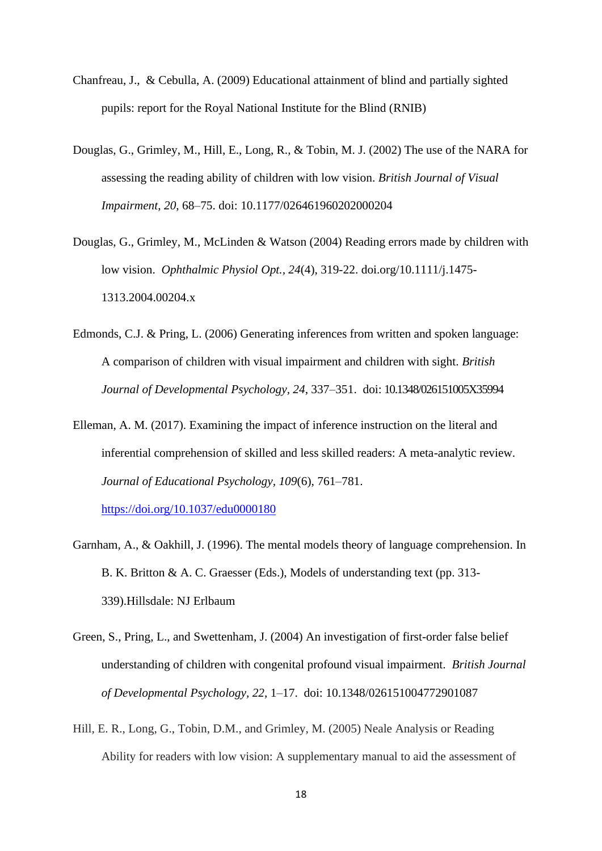- Chanfreau, J., & Cebulla, A. (2009) Educational attainment of blind and partially sighted pupils: report for the Royal National Institute for the Blind (RNIB)
- Douglas, G., Grimley, M., Hill, E., Long, R., & Tobin, M. J. (2002) The use of the NARA for assessing the reading ability of children with low vision. *British Journal of Visual Impairment*, *20*, 68–75. doi: [10.1177/026461960202000204](https://doi.org/10.1177/026461960202000204)
- Douglas, G., Grimley, M., McLinden & Watson (2004) Reading errors made by children with low vision. *[Ophthalmic Physiol Opt.,](https://www.ncbi.nlm.nih.gov/pubmed/15228509) 24*(4), 319-22. doi.org/10.1111/j.1475- 1313.2004.00204.x
- Edmonds, C.J. & Pring, L. (2006) Generating inferences from written and spoken language: A comparison of children with visual impairment and children with sight. *British Journal of Developmental Psychology, 24*, 337–351. doi: 10.1348/026151005X35994
- Elleman, A. M. (2017). Examining the impact of inference instruction on the literal and inferential comprehension of skilled and less skilled readers: A meta-analytic review. *Journal of Educational Psychology, 109*(6), 761–781.

[https://doi.org/10.1037/edu0000180](https://psycnet.apa.org/doi/10.1037/edu0000180)

- Garnham, A., & Oakhill, J. (1996). The mental models theory of language comprehension. In B. K. Britton & A. C. Graesser (Eds.), Models of understanding text (pp. 313- 339).Hillsdale: NJ Erlbaum
- Green, S., Pring, L., and Swettenham, J. (2004) An investigation of first-order false belief understanding of children with congenital profound visual impairment. *British Journal of Developmental Psychology, 22*, 1–17. doi: 10.1348/026151004772901087
- Hill, E. R., Long, G., Tobin, D.M., and Grimley, M. (2005) Neale Analysis or Reading Ability for readers with low vision: A supplementary manual to aid the assessment of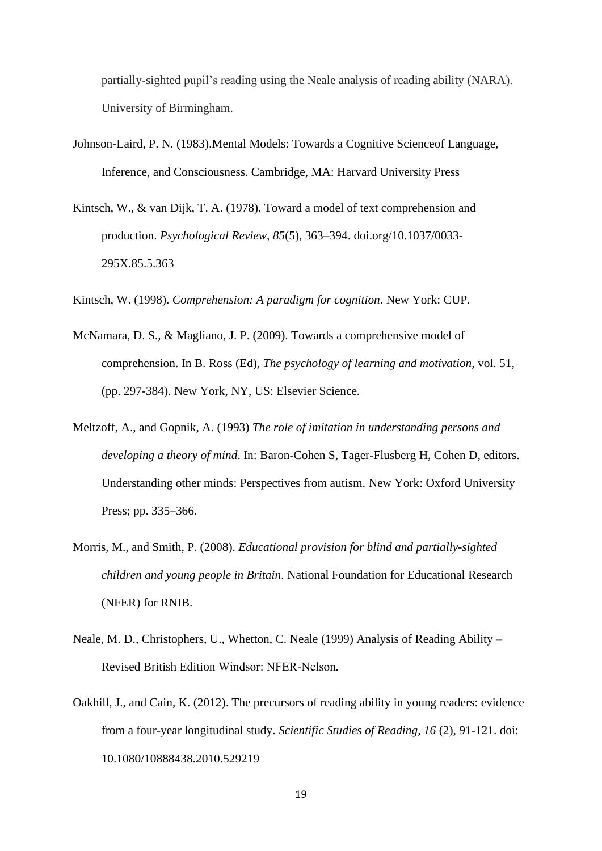partially-sighted pupil's reading using the Neale analysis of reading ability (NARA). University of Birmingham.

- Johnson-Laird, P. N. (1983).Mental Models: Towards a Cognitive Scienceof Language, Inference, and Consciousness. Cambridge, MA: Harvard University Press
- Kintsch, W., & van Dijk, T. A. (1978). Toward a model of text comprehension and production. *Psychological Review, 85*(5), 363–394. doi.org/10.1037/0033- 295X.85.5.363
- Kintsch, W. (1998). *Comprehension: A paradigm for cognition*. New York: CUP.
- McNamara, D. S., & Magliano, J. P. (2009). Towards a comprehensive model of comprehension. In B. Ross (Ed), *The psychology of learning and motivation*, vol. 51, (pp. 297-384). New York, NY, US: Elsevier Science*.*
- Meltzoff, A., and Gopnik, A. (1993) *The role of imitation in understanding persons and developing a theory of mind*. In: Baron-Cohen S, Tager-Flusberg H, Cohen D, editors. Understanding other minds: Perspectives from autism. New York: Oxford University Press; pp. 335–366.
- Morris, M., and Smith, P. (2008). *Educational provision for blind and partially-sighted children and young people in Britain*. National Foundation for Educational Research (NFER) for RNIB.
- Neale, M. D.*,* Christophers, U.*,* Whetton, C. Neale (1999) Analysis of Reading Ability Revised British Edition Windsor: NFER‐Nelson*.*
- Oakhill, J., and Cain, K. (2012). [The precursors of reading ability in young readers: evidence](http://www.research.lancs.ac.uk/portal/en/publications/the-precursors-of-reading-ability-in-young-readers-evidence-from-a-fouryear-longitudinal-study%28d9aabae3-ffc4-41cd-895c-352f5c356417%29.html)  [from a four-year longitudinal study.](http://www.research.lancs.ac.uk/portal/en/publications/the-precursors-of-reading-ability-in-young-readers-evidence-from-a-fouryear-longitudinal-study%28d9aabae3-ffc4-41cd-895c-352f5c356417%29.html) *Scientific Studies of Reading, 16* (2), 91-121. doi: 10.1080/10888438.2010.529219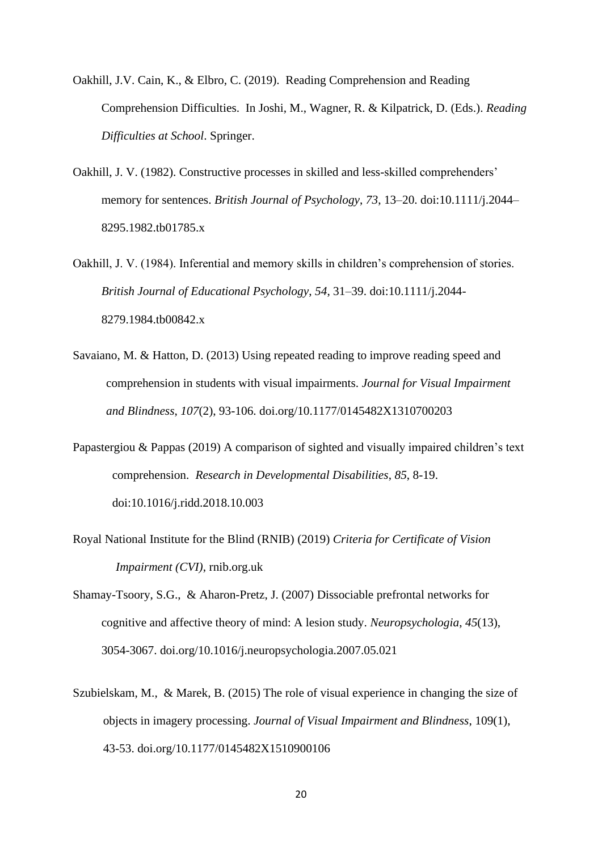- Oakhill, J.V. Cain, K., & Elbro, C. (2019). Reading Comprehension and Reading Comprehension Difficulties. In Joshi, M., Wagner, R. & Kilpatrick, D. (Eds.). *Reading Difficulties at School*. Springer.
- Oakhill, J. V. (1982). Constructive processes in skilled and less-skilled comprehenders' memory for sentences. *British Journal of Psychology*, *73*, 13–20. doi:10.1111/j.2044– 8295.1982.tb01785.x
- Oakhill, J. V. (1984). Inferential and memory skills in children's comprehension of stories. *British Journal of Educational Psychology*, *54*, 31–39. doi:10.1111/j.2044- 8279.1984.tb00842.x
- [Savaiano,](https://journals.sagepub.com/action/doSearch?target=default&ContribAuthorStored=Savaiano%2C+Mackenzie+E) M. & Hatton, D. (2013) Using repeated reading to improve reading speed and comprehension in students with visual impairments. *Journal for Visual Impairment and Blindness*, *107*(2), 93-106. doi.org/10.1177/0145482X1310700203
- Papastergiou & Pappas (2019) A comparison of sighted and visually impaired children's text comprehension. *Research in Developmental Disabilities*, *85*, 8-19. doi:10.1016/j.ridd.2018.10.003
- Royal National Institute for the Blind (RNIB) (2019) *Criteria for Certificate of Vision Impairment (CVI)*, rnib.org.uk
- Shamay-Tsoory, S.G., & Aharon-Pretz, J. (2007) Dissociable prefrontal networks for cognitive and affective theory of mind: A lesion study. *Neuropsychologia*, *45*(13), 3054-3067. doi.org/10.1016/j.neuropsychologia.2007.05.021
- Szubielskam, M., & Marek, B. (2015) The role of visual experience in changing the size of objects in imagery processing. *Journal of Visual Impairment and Blindness*, 109(1), 43-53. doi.org/10.1177/0145482X1510900106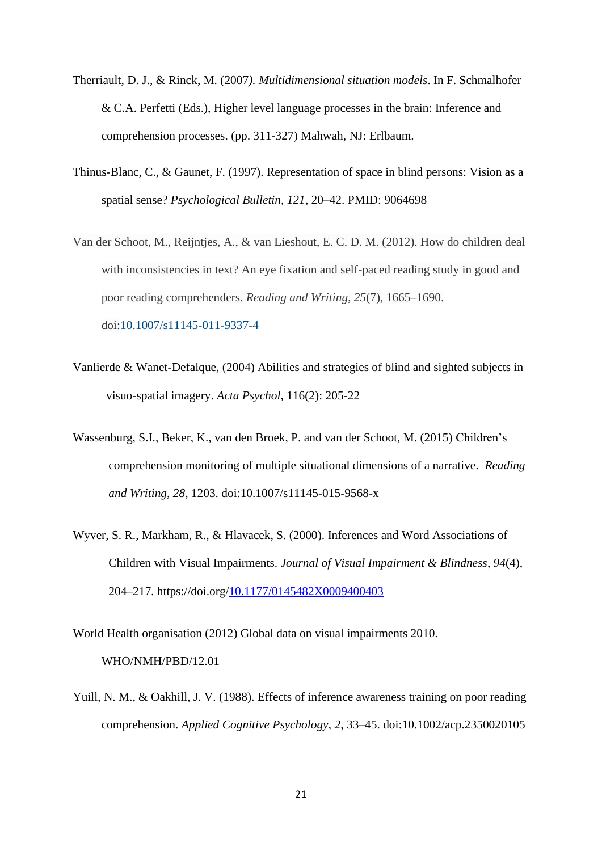- Therriault, D. J., & Rinck, M. (2007*). Multidimensional situation models*. In F. Schmalhofer & C.A. Perfetti (Eds.), Higher level language processes in the brain: Inference and comprehension processes. (pp. 311-327) Mahwah, NJ: Erlbaum.
- Thinus-Blanc, C., & Gaunet, F. (1997). Representation of space in blind persons: Vision as a spatial sense? *Psychological Bulletin, 121*, 20–42. PMID: 9064698
- Van der Schoot, M., Reijntjes, A., & van Lieshout, E. C. D. M. (2012). How do children deal with inconsistencies in text? An eye fixation and self-paced reading study in good and poor reading comprehenders. *Reading and Writing*, *25*(7), 1665–1690. doi[:10.1007/s11145-011-9337-4](https://doi.org/10.1007/s11145-011-9337-4)
- Vanlierde & Wanet-Defalque, (2004) Abilities and strategies of blind and sighted subjects in visuo-spatial imagery. *[Acta Psychol](https://www.ncbi.nlm.nih.gov/pubmed/15158183)*, 116(2): 205-22
- Wassenburg, S.I., Beker, K., van den Broek, P. and van der Schoot, M. (2015) Children's comprehension monitoring of multiple situational dimensions of a narrative. *Reading and Writing*, *28*, 1203. doi:10.1007/s11145-015-9568-x
- Wyver, S. R., Markham, R., & Hlavacek, S. (2000). Inferences and Word Associations of Children with Visual Impairments. *Journal of Visual Impairment & Blindness*, *94*(4), 204–217. https://doi.org[/10.1177/0145482X0009400403](https://doi-org.ezproxy.sussex.ac.uk/10.1177/0145482X0009400403)

World Health organisation (2012) Global data on visual impairments 2010. WHO/NMH/PBD/12.01

Yuill, N. M., & Oakhill, J. V. (1988). Effects of inference awareness training on poor reading comprehension. *Applied Cognitive Psychology*, *2*, 33–45. doi:10.1002/acp.2350020105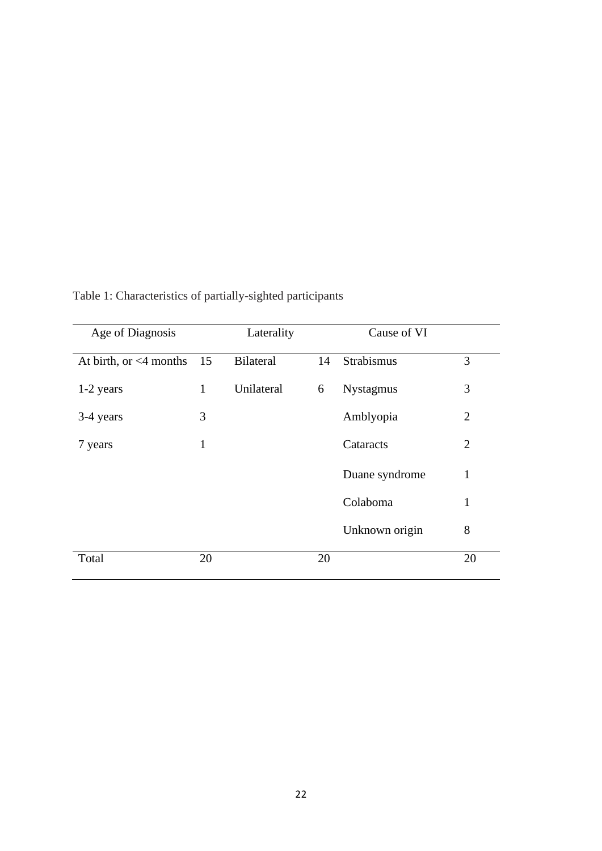| Age of Diagnosis             |              | Laterality       |    | Cause of VI      |                |
|------------------------------|--------------|------------------|----|------------------|----------------|
| At birth, or $\leq 4$ months | 15           | <b>Bilateral</b> | 14 | Strabismus       | 3              |
| $1-2$ years                  | $\mathbf{1}$ | Unilateral       | 6  | <b>Nystagmus</b> | 3              |
| 3-4 years                    | 3            |                  |    | Amblyopia        | 2              |
| 7 years                      | 1            |                  |    | Cataracts        | $\overline{2}$ |
|                              |              |                  |    | Duane syndrome   | 1              |
|                              |              |                  |    | Colaboma         | $\mathbf{1}$   |
|                              |              |                  |    | Unknown origin   | 8              |
| Total                        | 20           |                  | 20 |                  | 20             |

Table 1: Characteristics of partially-sighted participants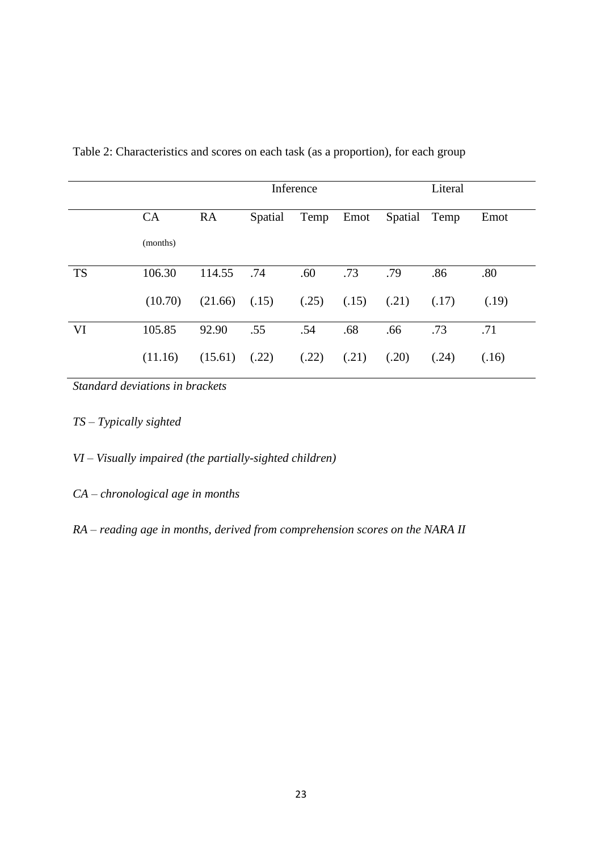|           |           | Inference |         |       |       |              | Literal |       |
|-----------|-----------|-----------|---------|-------|-------|--------------|---------|-------|
|           | <b>CA</b> | <b>RA</b> | Spatial | Temp  | Emot  | Spatial Temp |         | Emot  |
|           | (months)  |           |         |       |       |              |         |       |
| <b>TS</b> | 106.30    | 114.55    | .74     | .60   | .73   | .79          | .86     | .80   |
|           | (10.70)   | (21.66)   | (.15)   | (.25) | (.15) | (.21)        | (.17)   | (.19) |
| VI        | 105.85    | 92.90     | .55     | .54   | .68   | .66          | .73     | .71   |
|           | (11.16)   | (15.61)   | (.22)   | (.22) | (.21) | (.20)        | (.24)   | (.16) |

Table 2: Characteristics and scores on each task (as a proportion), for each group

*Standard deviations in brackets*

- *TS – Typically sighted*
- *VI – Visually impaired (the partially-sighted children)*
- *CA – chronological age in months*
- *RA – reading age in months, derived from comprehension scores on the NARA II*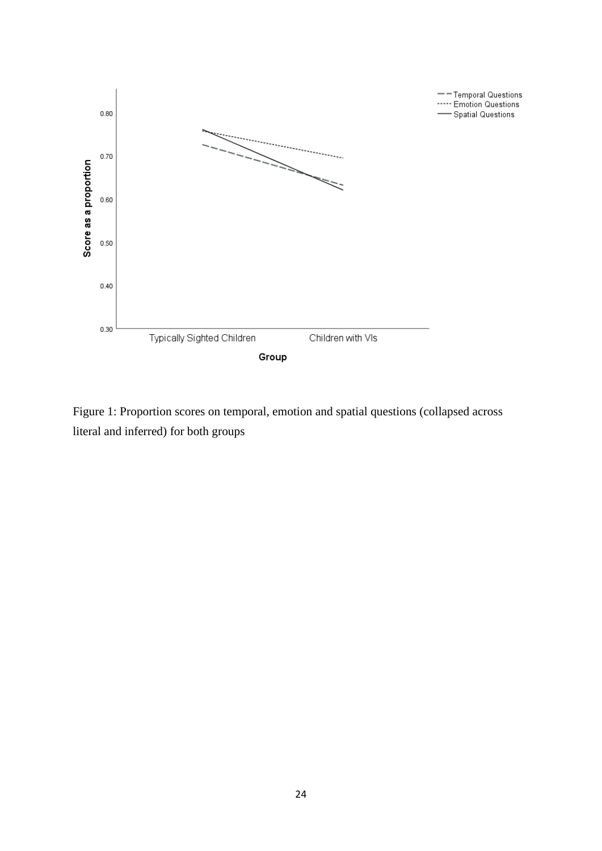

Figure 1: Proportion scores on temporal, emotion and spatial questions (collapsed across literal and inferred) for both groups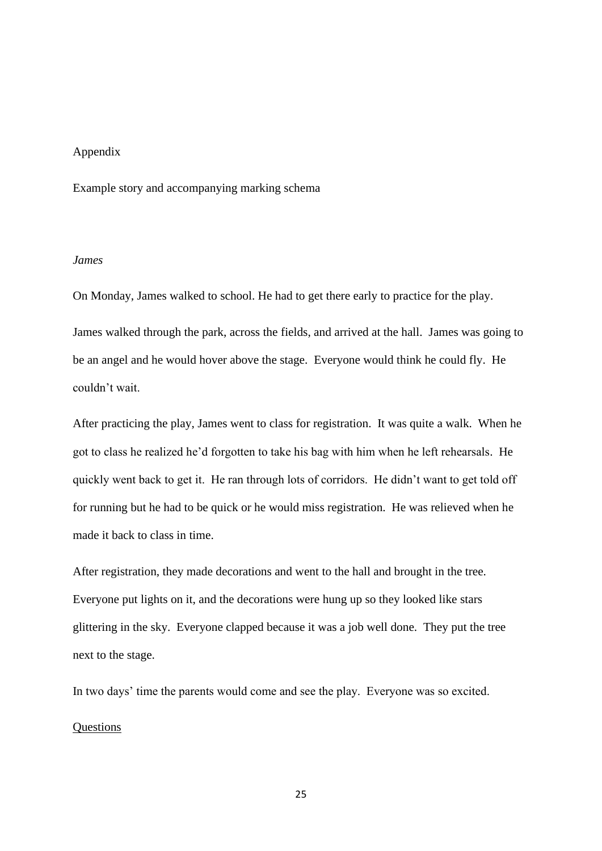#### Appendix

Example story and accompanying marking schema

# *James*

On Monday, James walked to school. He had to get there early to practice for the play. James walked through the park, across the fields, and arrived at the hall. James was going to be an angel and he would hover above the stage. Everyone would think he could fly. He couldn't wait.

After practicing the play, James went to class for registration. It was quite a walk. When he got to class he realized he'd forgotten to take his bag with him when he left rehearsals. He quickly went back to get it. He ran through lots of corridors. He didn't want to get told off for running but he had to be quick or he would miss registration. He was relieved when he made it back to class in time.

After registration, they made decorations and went to the hall and brought in the tree. Everyone put lights on it, and the decorations were hung up so they looked like stars glittering in the sky. Everyone clapped because it was a job well done. They put the tree next to the stage.

In two days' time the parents would come and see the play. Everyone was so excited.

### **Questions**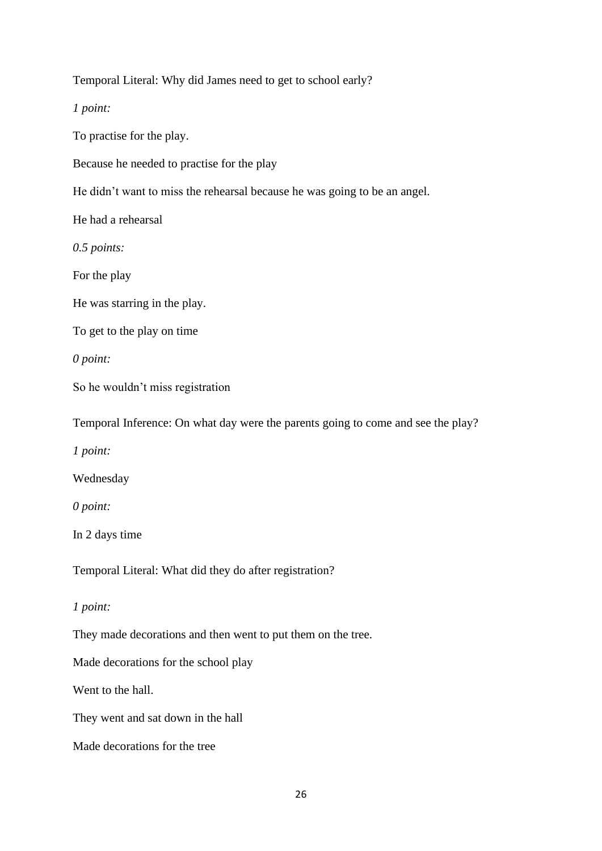Temporal Literal: Why did James need to get to school early?

*1 point:* 

To practise for the play.

Because he needed to practise for the play

He didn't want to miss the rehearsal because he was going to be an angel.

He had a rehearsal

*0.5 points:* 

For the play

He was starring in the play.

To get to the play on time

*0 point:*

So he wouldn't miss registration

Temporal Inference: On what day were the parents going to come and see the play?

*1 point:* 

Wednesday

*0 point:*

In 2 days time

Temporal Literal: What did they do after registration?

*1 point:* 

They made decorations and then went to put them on the tree.

Made decorations for the school play

Went to the hall.

They went and sat down in the hall

Made decorations for the tree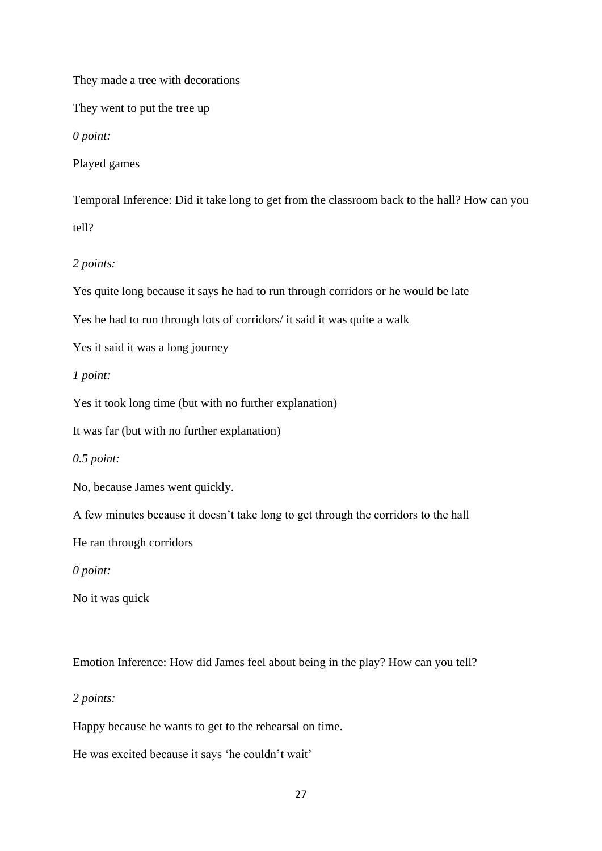They made a tree with decorations

They went to put the tree up

*0 point:*

Played games

Temporal Inference: Did it take long to get from the classroom back to the hall? How can you tell?

*2 points:* 

Yes quite long because it says he had to run through corridors or he would be late

Yes he had to run through lots of corridors/ it said it was quite a walk

Yes it said it was a long journey

*1 point:*

Yes it took long time (but with no further explanation)

It was far (but with no further explanation)

*0.5 point:*

No, because James went quickly.

A few minutes because it doesn't take long to get through the corridors to the hall

He ran through corridors

*0 point:*

No it was quick

Emotion Inference: How did James feel about being in the play? How can you tell?

*2 points:* 

Happy because he wants to get to the rehearsal on time.

He was excited because it says 'he couldn't wait'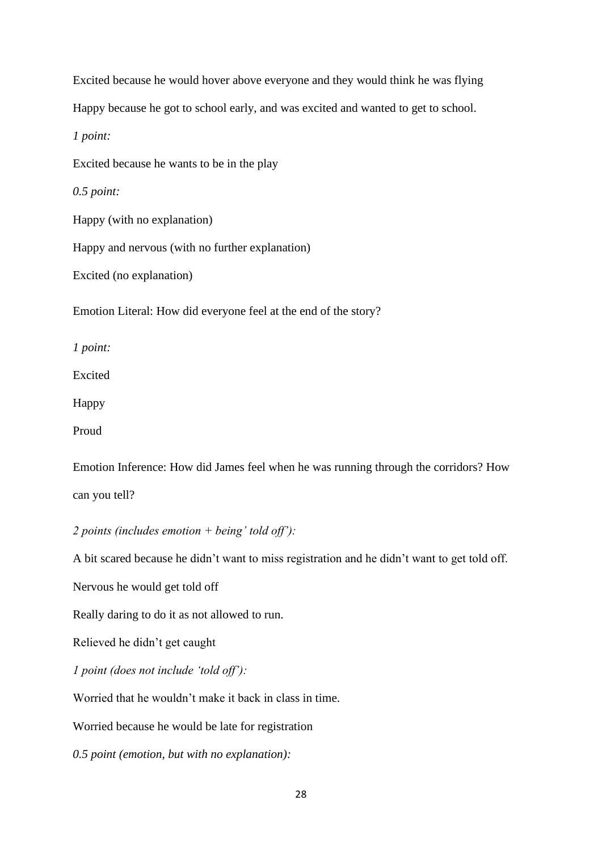Excited because he would hover above everyone and they would think he was flying Happy because he got to school early, and was excited and wanted to get to school. *1 point:* Excited because he wants to be in the play *0.5 point:*  Happy (with no explanation) Happy and nervous (with no further explanation) Excited (no explanation) Emotion Literal: How did everyone feel at the end of the story? *1 point:*  Excited

Happy

Proud

Emotion Inference: How did James feel when he was running through the corridors? How can you tell?

*2 points (includes emotion + being' told off'):* 

A bit scared because he didn't want to miss registration and he didn't want to get told off.

Nervous he would get told off

Really daring to do it as not allowed to run.

Relieved he didn't get caught

*1 point (does not include 'told off'):*

Worried that he wouldn't make it back in class in time.

Worried because he would be late for registration

*0.5 point (emotion, but with no explanation):*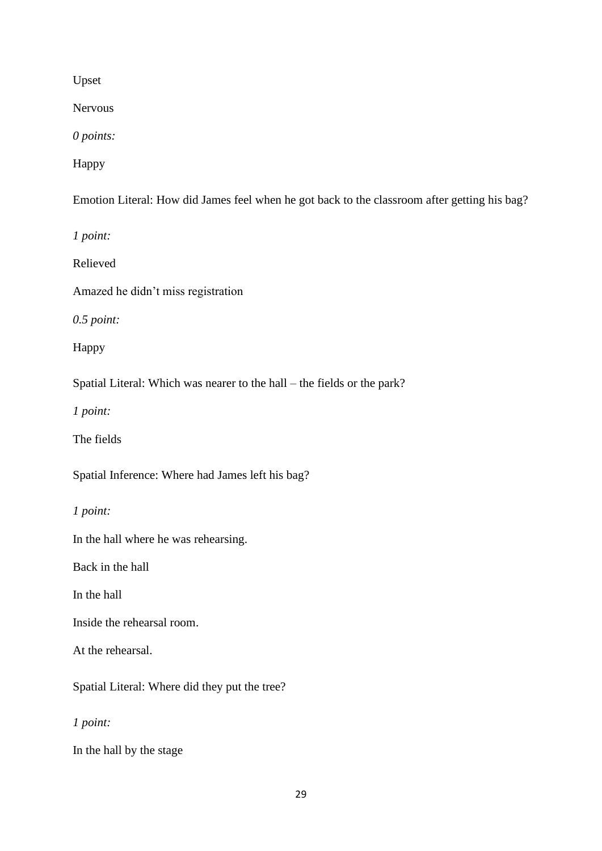Upset

Nervous

*0 points:*

Happy

Emotion Literal: How did James feel when he got back to the classroom after getting his bag?

*1 point:* 

Relieved

Amazed he didn't miss registration

*0.5 point:* 

Happy

Spatial Literal: Which was nearer to the hall – the fields or the park?

*1 point:* 

The fields

Spatial Inference: Where had James left his bag?

*1 point:* 

In the hall where he was rehearsing.

Back in the hall

In the hall

Inside the rehearsal room.

At the rehearsal.

Spatial Literal: Where did they put the tree?

*1 point:* 

In the hall by the stage